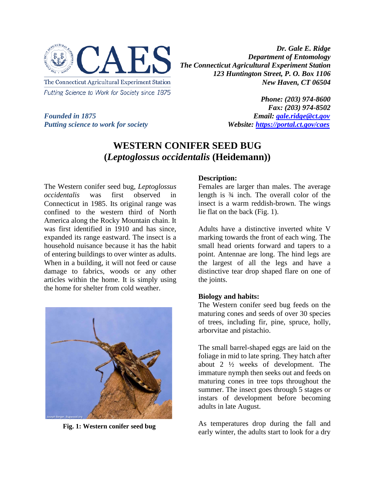

*Dr. Gale E. Ridge Department of Entomology The Connecticut Agricultural Experiment Station 123 Huntington Street, P. O. Box 1106 New Haven, CT 06504*

*Putting science to work for society* 

*Phone: (203) 974-8600 Fax: (203) 974-8502 Founded in 1875*<br>*Putting science to work for society*<br>*Website: https://portal.ct.gov/caes* 

## **WESTERN CONIFER SEED BUG (***Leptoglossus occidentalis* **(Heidemann))**

The Western conifer seed bug, *Leptoglossus occidentalis* was first observed in Connecticut in 1985. Its original range was confined to the western third of North America along the Rocky Mountain chain. It was first identified in 1910 and has since, expanded its range eastward. The insect is a household nuisance because it has the habit of entering buildings to over winter as adults. When in a building, it will not feed or cause damage to fabrics, woods or any other articles within the home. It is simply using the home for shelter from cold weather.



**Fig. 1: Western conifer seed bug**

## **Description:**

Females are larger than males. The average length is ¾ inch. The overall color of the insect is a warm reddish-brown. The wings lie flat on the back (Fig. 1).

Adults have a distinctive inverted white V marking towards the front of each wing. The small head orients forward and tapers to a point. Antennae are long. The hind legs are the largest of all the legs and have a distinctive tear drop shaped flare on one of the joints.

## **Biology and habits:**

The Western conifer seed bug feeds on the maturing cones and seeds of over 30 species of trees, including fir, pine, spruce, holly, arborvitae and pistachio.

The small barrel-shaped eggs are laid on the foliage in mid to late spring. They hatch after about 2 ½ weeks of development. The immature nymph then seeks out and feeds on maturing cones in tree tops throughout the summer. The insect goes through 5 stages or instars of development before becoming adults in late August.

As temperatures drop during the fall and early winter, the adults start to look for a dry